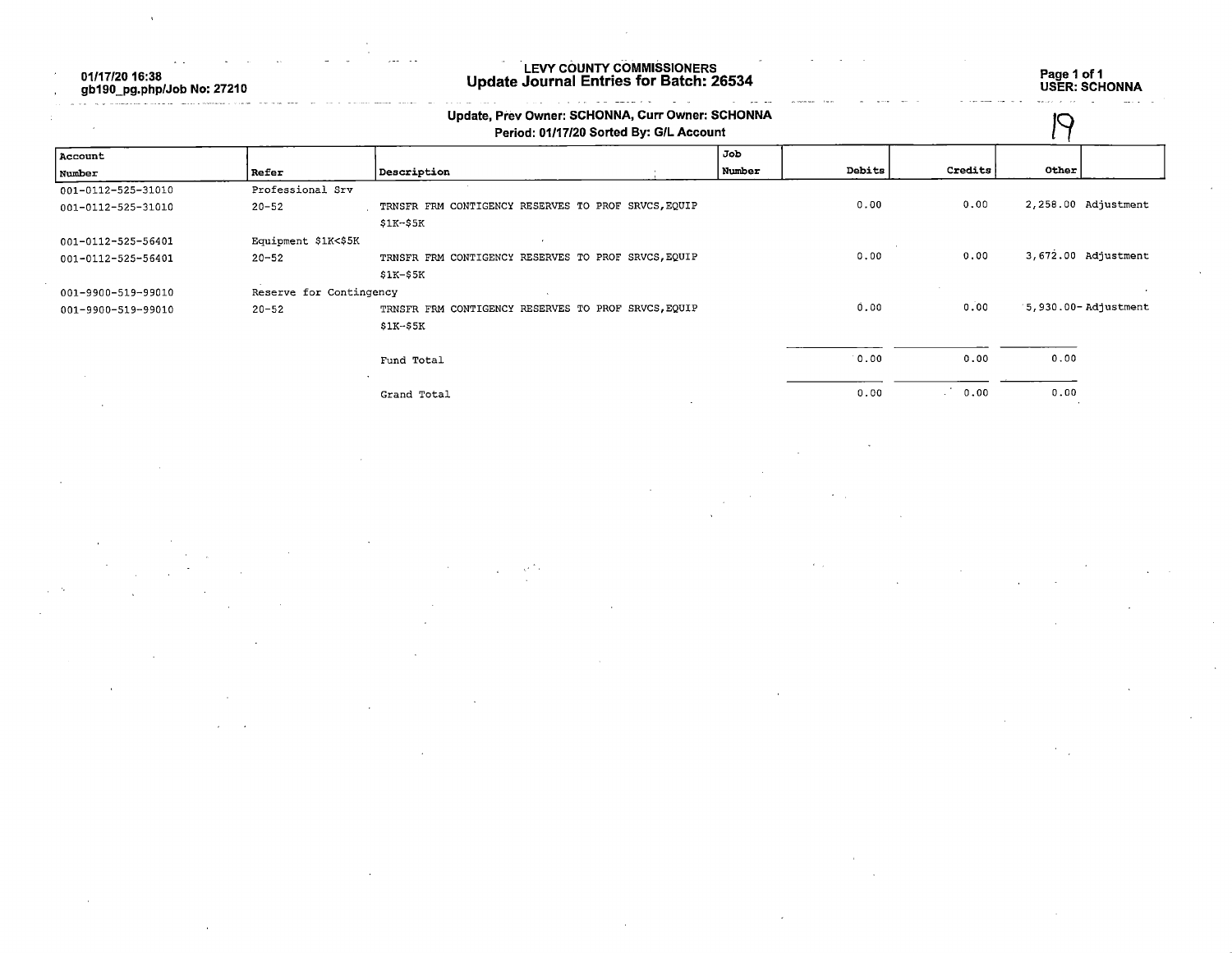01/17/20 16:38 gb190\_pg.php/Job No: 27210

## LEVY COUNTY COMMISSIONERS Update Journal Entries for Batch: 26534 Page 1 of 1

Page 1 of 1<br>USER: SCHONNA

|                    | Update, Prev Owner: SCHONNA, Curr Owner: SCHONNA<br>Period: 01/17/20 Sorted By: G/L Account |                                                     |  |        |        |         |                     |
|--------------------|---------------------------------------------------------------------------------------------|-----------------------------------------------------|--|--------|--------|---------|---------------------|
| Account            |                                                                                             |                                                     |  | Job    |        |         |                     |
| Number             | Refer                                                                                       | Description                                         |  | Number | Debits | Credits | Other               |
| 001-0112-525-31010 | Professional Srv                                                                            |                                                     |  |        |        |         |                     |
| 001-0112-525-31010 | $20 - 52$                                                                                   | TRNSFR FRM CONTIGENCY RESERVES TO PROF SRVCS, EQUIP |  |        | 0.00   | 0.00    | 2,258.00 Adjustment |
|                    |                                                                                             | $$1K-$5K$                                           |  |        |        |         |                     |
| 001-0112-525-56401 | Equipment \$1K<\$5K                                                                         |                                                     |  |        |        |         |                     |
| 001-0112-525-56401 | $20 - 52$                                                                                   | TRNSFR FRM CONTIGENCY RESERVES TO PROF SRVCS, EQUIP |  |        | 0.00   | 0.00    | 3,672.00 Adjustment |
|                    |                                                                                             | $S1K-55K$                                           |  |        |        |         |                     |
| 001-9900-519-99010 | Reserve for Contingency                                                                     |                                                     |  |        |        |         |                     |
| 001-9900-519-99010 | $20 - 52$                                                                                   | TRNSFR FRM CONTIGENCY RESERVES TO PROF SRVCS, EQUIP |  |        | 0.00   | 0.00    | 5,930.00-Adjustment |
|                    |                                                                                             | \$1K-\$5K                                           |  |        |        |         |                     |
|                    |                                                                                             | Fund Total                                          |  |        | 0.00   | 0.00    | 0.00                |
|                    |                                                                                             | Grand Total                                         |  |        | 0.00   | 0.00    | 0.00                |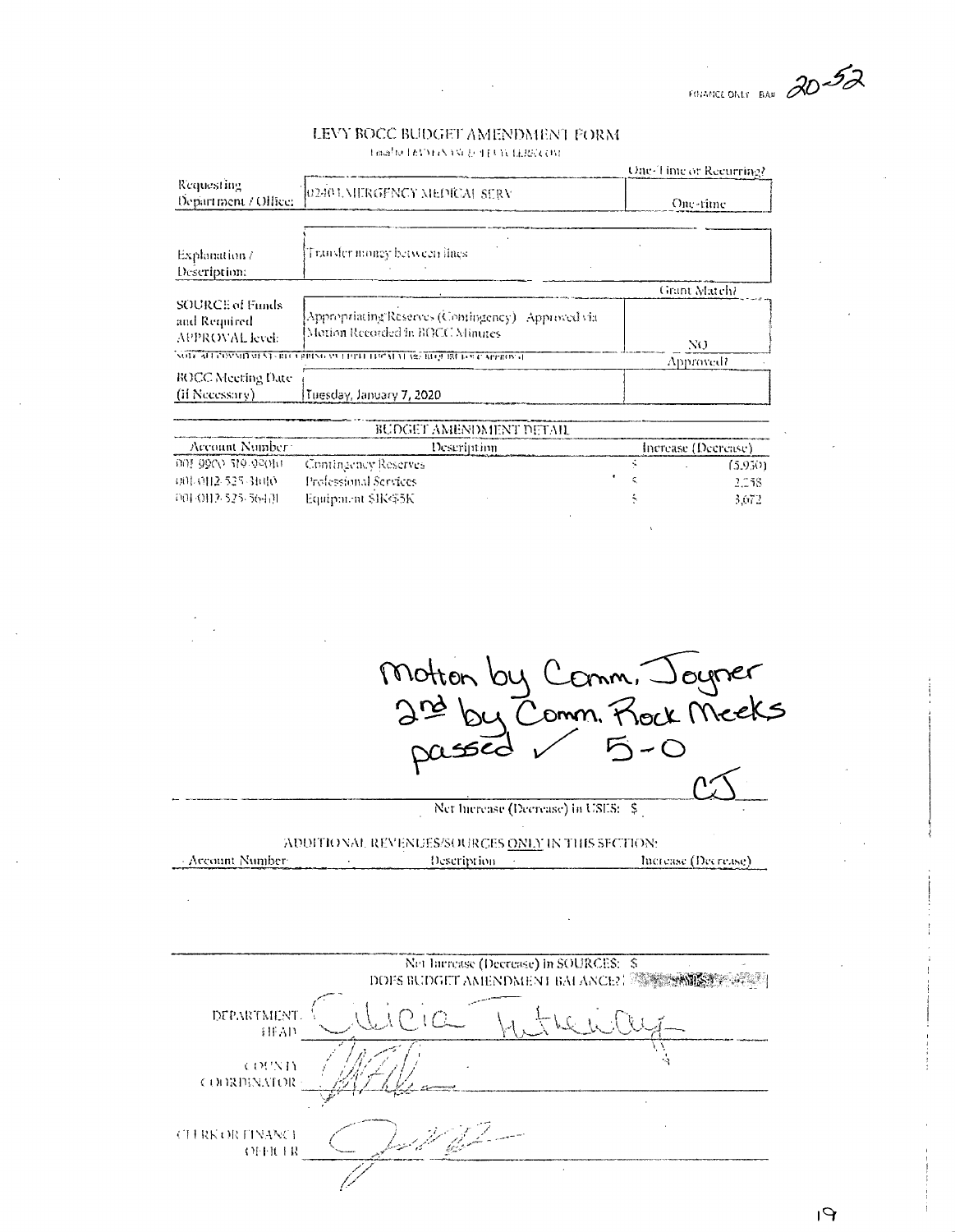FOUNDED ONLY BAN 20-52

## LEVY BOCC BUDGET AMENDMENT FORM Time/to LEVY( (NASC & TEUN LERK) (IM-

|                                                                                     | One-Time or Recurring?                                                   |  |
|-------------------------------------------------------------------------------------|--------------------------------------------------------------------------|--|
| 0240 UMERGENCY MEDICAL SERV                                                         | One-rime                                                                 |  |
| Transfer money between iines                                                        |                                                                          |  |
|                                                                                     |                                                                          |  |
|                                                                                     | Grant Match?                                                             |  |
| Appropriating Reserves (Comingency) Approved via<br>Motion Recorded in BOCC Minutes | NO.                                                                      |  |
|                                                                                     | Approved?                                                                |  |
| Tuesday, January 7, 2020                                                            |                                                                          |  |
|                                                                                     | NOTE ATTACHNITURAT CHE EXPIRING VELLOPED HAPATAT ARCHITURE DOCE APPROVAL |  |

| BUDGET AMENDMENT DETAIL |                       |                     |         |  |
|-------------------------|-----------------------|---------------------|---------|--|
| Account Number:         | Descriminn            | Increase (Decrease) |         |  |
| 001 9900 519-92010      | Contingency Reserves  |                     | 15.9301 |  |
| -5011-0112-525-31010-   | Professional Services |                     | 2.158   |  |
| -001-0112-525-56451     | Equipment \$IK455K    |                     | 5.672.  |  |
|                         |                       |                     |         |  |

Motton by Comm, Joyner<br>2nd by Comm. Rock Meeks passed

Net hierease (Decrease) in USES: \$

ADDITIONAL REVENUES/SOURCES ONLY IN THIS SECTION: - Account Number Description and the control Increase (Decrease)

|                                           | Net Increase (Decrease) in SOURCES: \$<br>DOFS BUDGET AMENDMENT BALANCE? FALLS |  |
|-------------------------------------------|--------------------------------------------------------------------------------|--|
| DEPARTMENT<br>HFAD                        |                                                                                |  |
| COUNTY<br><b>COORDINATOR</b>              |                                                                                |  |
| <b>CLERK OR TINANCI</b><br><b>OFFICER</b> |                                                                                |  |
|                                           |                                                                                |  |

 $P_1$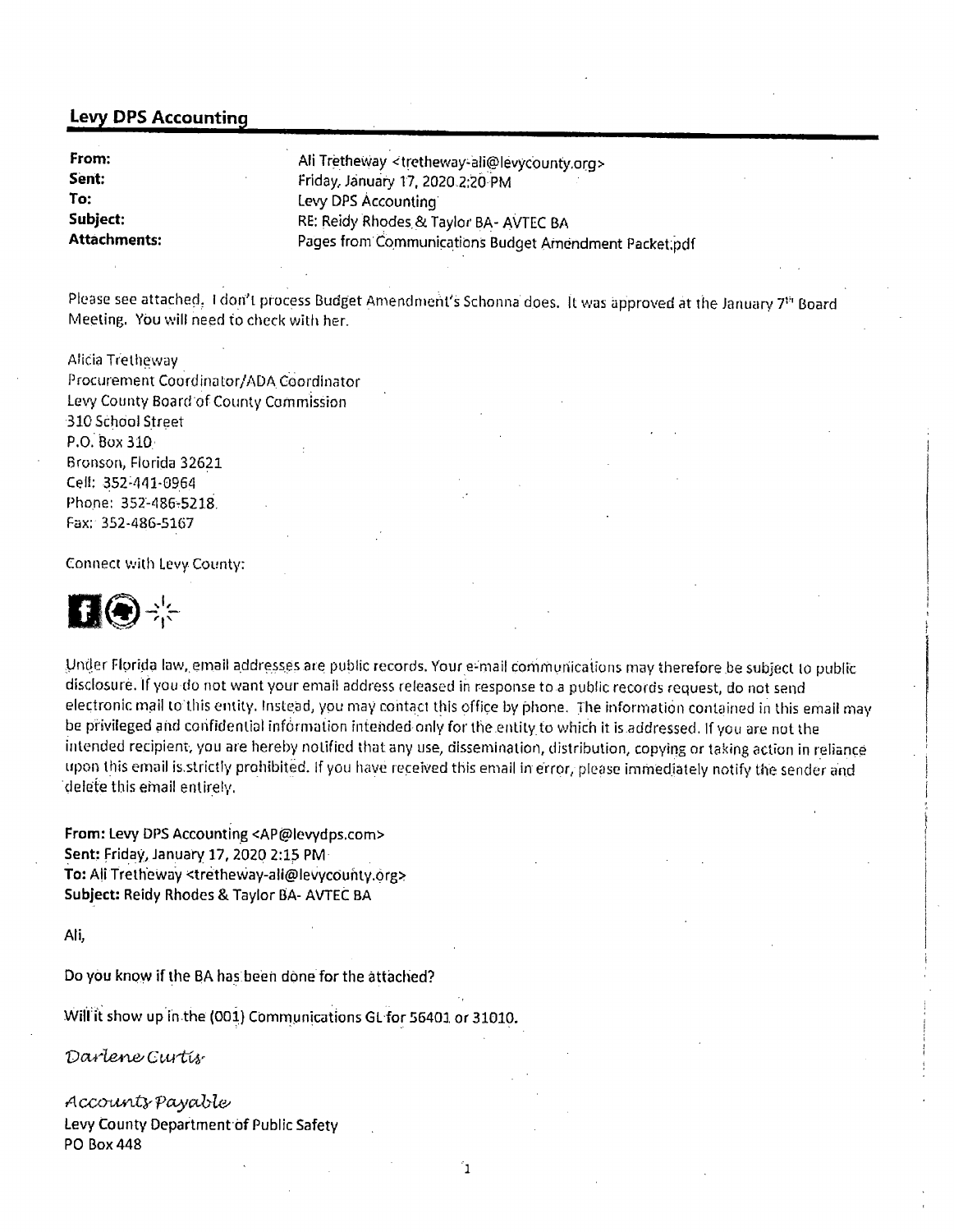## Levy DPS Accounting

| From:               | Ali Tretheway <tretheway-ali@levycounty.org></tretheway-ali@levycounty.org> |
|---------------------|-----------------------------------------------------------------------------|
| Sent:               | Friday, January 17, 2020 2:20 PM                                            |
| To:                 | Levy DPS Accounting                                                         |
| Subject:            | RE: Reidy Rhodes & Taylor BA- AVTEC BA                                      |
| <b>Attachments:</b> | Pages from Communications Budget Amendment Packet.pdf                       |

Please see attached. I don't process Budget Amendment's Schonna does. It was approved at the January 7<sup>th</sup> Board Meeting. You will need to check with her.

Alicia Tretheway Procurement Coordinator/ADA Coordinator Levy County Board of County Commission 310 School Street P.O. Box 310. Bronson, Florida 32621 Cell: 352-441-0964 Phone; 352-486-5218, Fax: 352-486-5167

Connect with Levy County:



Under Florida law, email addresses are public records. Your e-mail communications may therefore be subject to public disclosure. If you do not want your email address released in response to a public records request, do not send electronic mail to this entity. Instead, you may contact this office by phone. The information contained in this email may be privileged and confidential infdrmation intended only for the entity to which it is addressed. If you are not the intended recipient, you are hereby notified that any use, dissemination, distribution, copying or taking action in reliance upon this email is strictly prohibited. If you have received this email in error, please immediately notify the sender and delete this email entirely.

From: Levy DPS Accounting <AP@levydps.com> Sent: Friday, January 17, 2020 2:15 PM To: Ali Tretheway <tretheway-ali@levycounty.org> Subject: Reidy Rhodes & Taylor BA- AVTEC BA

Ali,

Do you know if the BA has been done for the attached?

Will it show up in the (001) Communications GL for 56401 or 31010.

Darlene Gurtis

Accounts payable Levy County Department of Public Safety PO Box 448

'n